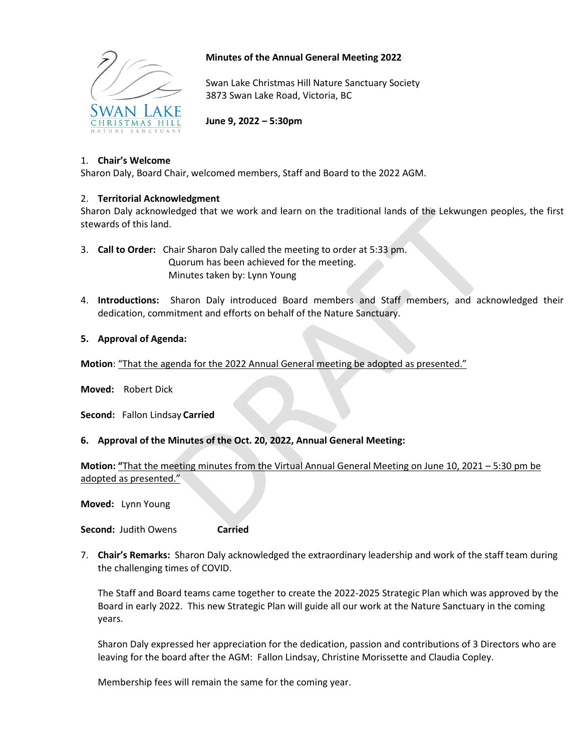

# **Minutes of the Annual General Meeting 2022**

Swan Lake Christmas Hill Nature Sanctuary Society 3873 Swan Lake Road, Victoria, BC

**June 9, 2022 – 5:30pm**

# 1. **Chair's Welcome**

Sharon Daly, Board Chair, welcomed members, Staff and Board to the 2022 AGM.

### 2. **Territorial Acknowledgment**

Sharon Daly acknowledged that we work and learn on the traditional lands of the Lekwungen peoples, the first stewards of this land.

- 3. **Call to Order:** Chair Sharon Daly called the meeting to order at 5:33 pm. Quorum has been achieved for the meeting. Minutes taken by: Lynn Young
- 4. **Introductions:** Sharon Daly introduced Board members and Staff members, and acknowledged their dedication, commitment and efforts on behalf of the Nature Sanctuary.

### **5. Approval of Agenda:**

**Motion**: "That the agenda for the 2022 Annual General meeting be adopted as presented."

**Moved:** Robert Dick

**Second:** Fallon Lindsay **Carried**

#### **6. Approval of the Minutes of the Oct. 20, 2022, Annual General Meeting:**

**Motion: "**That the meeting minutes from the Virtual Annual General Meeting on June 10, 2021 – 5:30 pm be adopted as presented."

**Moved:** Lynn Young

**Second:** Judith Owens **Carried**

7. **Chair's Remarks:** Sharon Daly acknowledged the extraordinary leadership and work of the staff team during the challenging times of COVID.

The Staff and Board teams came together to create the 2022-2025 Strategic Plan which was approved by the Board in early 2022. This new Strategic Plan will guide all our work at the Nature Sanctuary in the coming years.

Sharon Daly expressed her appreciation for the dedication, passion and contributions of 3 Directors who are leaving for the board after the AGM: Fallon Lindsay, Christine Morissette and Claudia Copley.

Membership fees will remain the same for the coming year.